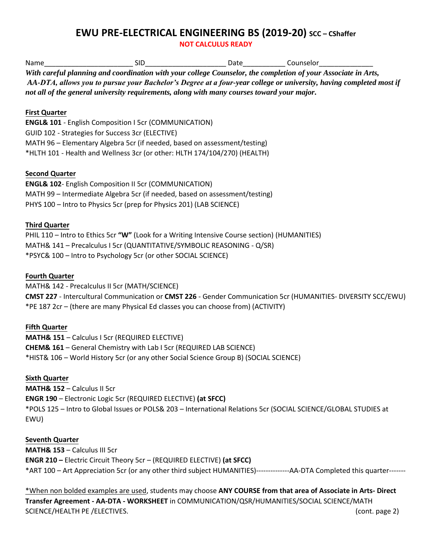## **EWU PRE-ELECTRICAL ENGINEERING BS (2019-20) SCC - CShaffer**

**NOT CALCULUS READY** 

| Name                                   | <b>SID</b>                                                                                    | Date Counselor                                                                                                            |
|----------------------------------------|-----------------------------------------------------------------------------------------------|---------------------------------------------------------------------------------------------------------------------------|
|                                        |                                                                                               | With careful planning and coordination with your college Counselor, the completion of your Associate in Arts,             |
|                                        |                                                                                               | AA-DTA, allows you to pursue your Bachelor's Degree at a four-year college or university, having completed most if        |
|                                        | not all of the general university requirements, along with many courses toward your major.    |                                                                                                                           |
|                                        |                                                                                               |                                                                                                                           |
| <b>First Quarter</b>                   |                                                                                               |                                                                                                                           |
|                                        | <b>ENGL&amp; 101 - English Composition I 5cr (COMMUNICATION)</b>                              |                                                                                                                           |
|                                        | GUID 102 - Strategies for Success 3cr (ELECTIVE)                                              |                                                                                                                           |
|                                        | MATH 96 - Elementary Algebra 5cr (if needed, based on assessment/testing)                     |                                                                                                                           |
|                                        | *HLTH 101 - Health and Wellness 3cr (or other: HLTH 174/104/270) (HEALTH)                     |                                                                                                                           |
|                                        |                                                                                               |                                                                                                                           |
| <b>Second Quarter</b>                  | <b>ENGL&amp; 102-English Composition II 5cr (COMMUNICATION)</b>                               |                                                                                                                           |
|                                        | MATH 99 - Intermediate Algebra 5cr (if needed, based on assessment/testing)                   |                                                                                                                           |
|                                        | PHYS 100 - Intro to Physics 5cr (prep for Physics 201) (LAB SCIENCE)                          |                                                                                                                           |
|                                        |                                                                                               |                                                                                                                           |
| <b>Third Quarter</b>                   |                                                                                               |                                                                                                                           |
|                                        | PHIL 110 - Intro to Ethics 5cr "W" (Look for a Writing Intensive Course section) (HUMANITIES) |                                                                                                                           |
|                                        | MATH& 141 - Precalculus I 5cr (QUANTITATIVE/SYMBOLIC REASONING - Q/SR)                        |                                                                                                                           |
|                                        | *PSYC& 100 - Intro to Psychology 5cr (or other SOCIAL SCIENCE)                                |                                                                                                                           |
|                                        |                                                                                               |                                                                                                                           |
| <b>Fourth Quarter</b>                  |                                                                                               |                                                                                                                           |
|                                        | MATH& 142 - Precalculus II 5cr (MATH/SCIENCE)                                                 |                                                                                                                           |
|                                        |                                                                                               | CMST 227 - Intercultural Communication or CMST 226 - Gender Communication 5cr (HUMANITIES- DIVERSITY SCC/EWU)             |
|                                        | *PE 187 2cr - (there are many Physical Ed classes you can choose from) (ACTIVITY)             |                                                                                                                           |
|                                        |                                                                                               |                                                                                                                           |
| <b>Fifth Quarter</b>                   |                                                                                               |                                                                                                                           |
|                                        | <b>MATH&amp; 151 - Calculus I 5cr (REQUIRED ELECTIVE)</b>                                     |                                                                                                                           |
|                                        | <b>CHEM&amp; 161</b> - General Chemistry with Lab I 5cr (REQUIRED LAB SCIENCE)                |                                                                                                                           |
|                                        | *HIST& 106 - World History 5cr (or any other Social Science Group B) (SOCIAL SCIENCE)         |                                                                                                                           |
|                                        |                                                                                               |                                                                                                                           |
| <b>Sixth Quarter</b>                   |                                                                                               |                                                                                                                           |
| <b>MATH&amp; 152 - Calculus II 5cr</b> |                                                                                               |                                                                                                                           |
|                                        | <b>ENGR 190</b> - Electronic Logic 5cr (REQUIRED ELECTIVE) (at SFCC)                          |                                                                                                                           |
|                                        |                                                                                               | *POLS 125 - Intro to Global Issues or POLS& 203 - International Relations 5cr (SOCIAL SCIENCE/GLOBAL STUDIES at           |
| EWU)                                   |                                                                                               |                                                                                                                           |
| <b>Seventh Quarter</b>                 |                                                                                               |                                                                                                                           |
| MATH& 153 - Calculus III 5cr           |                                                                                               |                                                                                                                           |
|                                        | <b>ENGR 210 - Electric Circuit Theory 5cr - (REQUIRED ELECTIVE) (at SFCC)</b>                 |                                                                                                                           |
|                                        |                                                                                               | *ART 100 - Art Appreciation 5cr (or any other third subject HUMANITIES)--------------AA-DTA Completed this quarter------- |

\*When non bolded examples are used, students may choose **ANY COURSE from that area of Associate in Arts- Direct Transfer Agreement - AA-DTA - WORKSHEET** in COMMUNICATION/QSR/HUMANITIES/SOCIAL SCIENCE/MATH SCIENCE/HEALTH PE /ELECTIVES. (cont. page 2)